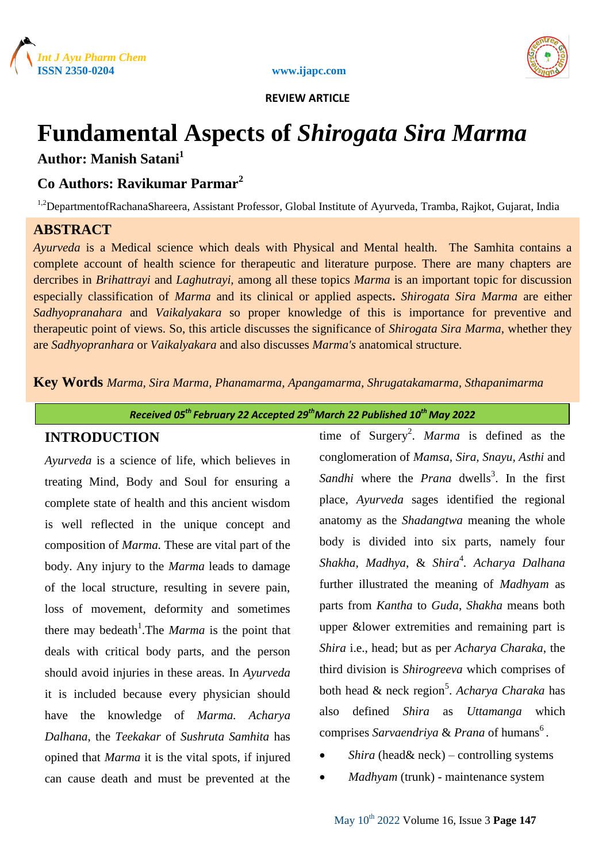



 **REVIEW ARTICLE**

# **Fundamental Aspects of** *Shirogata Sira Marma*

# **Author: Manish Satani<sup>1</sup>**

# **Co Authors: Ravikumar Parmar<sup>2</sup>**

<sup>1,2</sup>DepartmentofRachanaShareera, Assistant Professor, Global Institute of Ayurveda, Tramba, Rajkot, Gujarat, India

## **ABSTRACT**

*Ayurveda* is a Medical science which deals with Physical and Mental health. The Samhita contains a complete account of health science for therapeutic and literature purpose. There are many chapters are dercribes in *Brihattrayi* and *Laghutrayi,* among all these topics *Marma* is an important topic for discussion especially classification of *Marma* and its clinical or applied aspects**.** *Shirogata Sira Marma* are either *Sadhyopranahara* and *Vaikalyakara* so proper knowledge of this is importance for preventive and therapeutic point of views. So, this article discusses the significance of *Shirogata Sira Marma*, whether they are *Sadhyopranhara* or *Vaikalyakara* and also discusses *Marma's* anatomical structure.

**Key Words** *Marma, Sira Marma, Phanamarma, Apangamarma, Shrugatakamarma, Sthapanimarma*

*Received 05th February 22 Accepted 29thMarch 22 Published 10th May 2022*

### **INTRODUCTION**

*Ayurveda* is a science of life, which believes in treating Mind, Body and Soul for ensuring a complete state of health and this ancient wisdom is well reflected in the unique concept and composition of *Marma.* These are vital part of the body. Any injury to the *Marma* leads to damage of the local structure, resulting in severe pain, loss of movement, deformity and sometimes there may bedeath<sup>1</sup>. The *Marma* is the point that deals with critical body parts, and the person should avoid injuries in these areas. In *Ayurveda* it is included because every physician should have the knowledge of *Marma. Acharya Dalhana*, the *Teekakar* of *Sushruta Samhita* has opined that *Marma* it is the vital spots, if injured can cause death and must be prevented at the

time of Surgery<sup>2</sup>. *Marma* is defined as the conglomeration of *Mamsa, Sira, Snayu, Asthi* and Sandhi where the *Prana* dwells<sup>3</sup>. In the first place, *Ayurveda* sages identified the regional anatomy as the *Shadangtwa* meaning the whole body is divided into six parts, namely four *Shakha, Madhya*, & *Shira*<sup>4</sup> *. Acharya Dalhana* further illustrated the meaning of *Madhyam* as parts from *Kantha* to *Guda*, *Shakha* means both upper &lower extremities and remaining part is *Shira* i.e., head; but as per *Acharya Charaka*, the third division is *Shirogreeva* which comprises of both head & neck region<sup>5</sup>. *Acharya Charaka* has also defined *Shira* as *Uttamanga* which comprises Sarvaendriya & Prana of humans<sup>6</sup>.

- *Shira* (head& neck) controlling systems
- *Madhyam* (trunk) maintenance system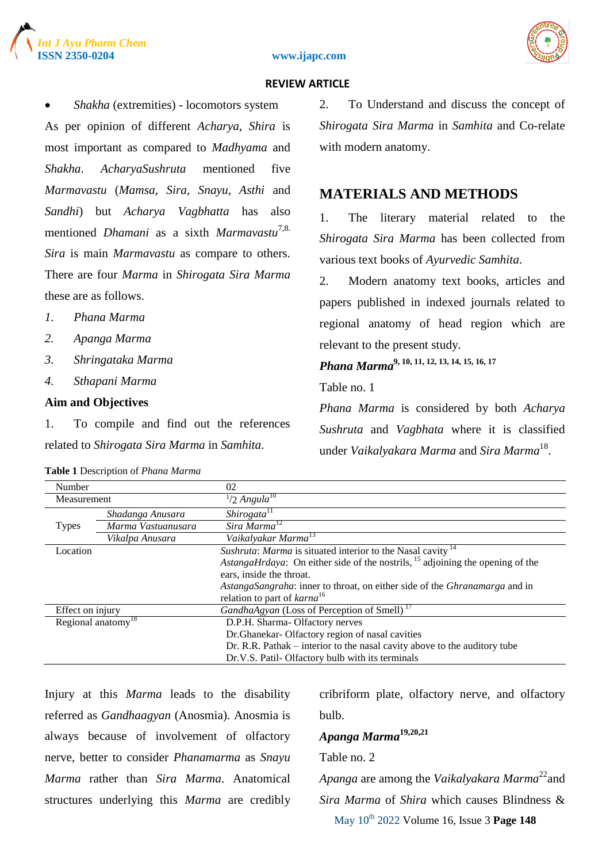





### **REVIEW ARTICLE**

 *Shakha* (extremities) - locomotors system As per opinion of different *Acharya*, *Shira* is most important as compared to *Madhyama* and *Shakha*. *AcharyaSushruta* mentioned five *Marmavastu* (*Mamsa, Sira, Snayu, Asthi* and *Sandhi*) but *Acharya Vagbhatta* has also mentioned *Dhamani* as a sixth *Marmavastu*7,8. *Sira* is main *Marmavastu* as compare to others. There are four *Marma* in *Shirogata Sira Marma* these are as follows.

- *1. Phana Marma*
- *2. Apanga Marma*
- *3. Shringataka Marma*
- *4. Sthapani Marma*

### **Aim and Objectives**

1. To compile and find out the references related to *Shirogata Sira Marma* in *Samhita*.

|  | Table 1 Description of Phana Marma |  |  |
|--|------------------------------------|--|--|
|--|------------------------------------|--|--|

2. To Understand and discuss the concept of *Shirogata Sira Marma* in *Samhita* and Co-relate with modern anatomy.

### **MATERIALS AND METHODS**

1. The literary material related to the *Shirogata Sira Marma* has been collected from various text books of *Ayurvedic Samhita*.

2. Modern anatomy text books, articles and papers published in indexed journals related to regional anatomy of head region which are relevant to the present study*.*

*Phana Marma***9, 10, 11, 12, 13, 14, 15, 16, 17**

Table no. 1

*Phana Marma* is considered by both *Acharya Sushruta* and *Vagbhata* where it is classified under *Vaikalyakara Marma* and *Sira Marma*<sup>18</sup> .

| Number           |                                | 02                                                                                                |
|------------------|--------------------------------|---------------------------------------------------------------------------------------------------|
| Measurement      |                                | $1/2$ Angula <sup>10</sup>                                                                        |
|                  | Shadanga Anusara               | $\textit{Shirogata}^{\text{IT}}$                                                                  |
| <b>Types</b>     | Marma Vastuanusara             | Sira Marma <sup>12</sup>                                                                          |
|                  | Vikalpa Anusara                | Vaikalyakar Marma <sup>13</sup>                                                                   |
| Location         |                                | Sushruta: Marma is situated interior to the Nasal cavity <sup>14</sup>                            |
|                  |                                | <i>AstangaHrdaya</i> : On either side of the nostrils, <sup>15</sup> adjoining the opening of the |
|                  |                                | ears, inside the throat.                                                                          |
|                  |                                | AstangaSangraha: inner to throat, on either side of the Ghranamarga and in                        |
|                  |                                | relation to part of $karna^{16}$                                                                  |
| Effect on injury |                                | GandhaAgyan (Loss of Perception of Smell) <sup>17</sup>                                           |
|                  | Regional anatomy <sup>18</sup> | D.P.H. Sharma-Olfactory nerves                                                                    |
|                  |                                | Dr.Ghanekar- Olfactory region of nasal cavities                                                   |
|                  |                                | Dr. R.R. Pathak $-$ interior to the nasal cavity above to the auditory tube                       |
|                  |                                | Dr.V.S. Patil-Olfactory bulb with its terminals                                                   |

Injury at this *Marma* leads to the disability referred as *Gandhaagyan* (Anosmia). Anosmia is always because of involvement of olfactory nerve, better to consider *Phanamarma* as *Snayu Marma* rather than *Sira Marma*. Anatomical structures underlying this *Marma* are credibly cribriform plate, olfactory nerve, and olfactory bulb.

# *Apanga Marma***19,20,21**

Table no. 2

May 10th 2022 Volume 16, Issue 3 **Page 148** *Apanga* are among the *Vaikalyakara Marma*<sup>22</sup>and *Sira Marma* of *Shira* which causes Blindness &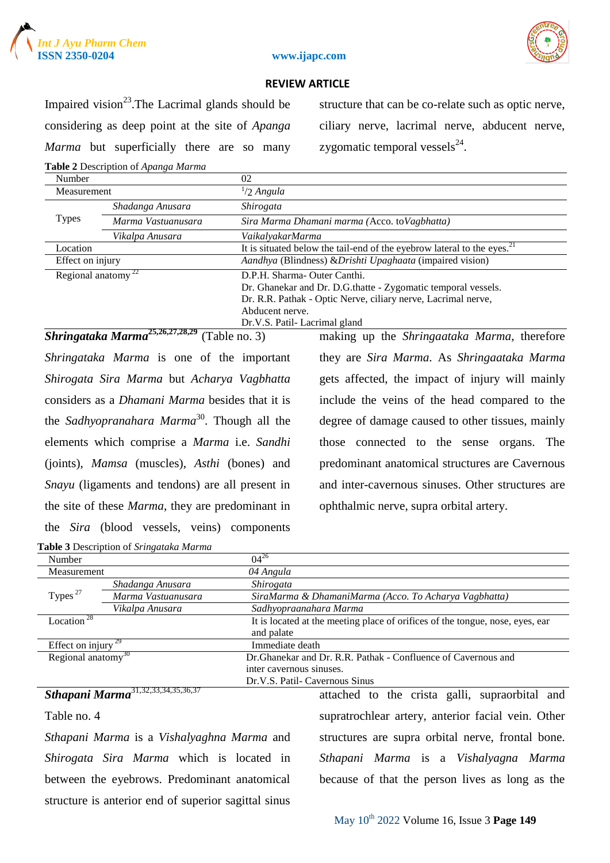



### **ISSN 2350-0204 www.ijapc.com**

### **REVIEW ARTICLE**

Impaired vision<sup>23</sup>. The Lacrimal glands should be considering as deep point at the site of *Apanga Marma* but superficially there are so many **Table 2** Description of *Apanga Marma*

structure that can be co-relate such as optic nerve, ciliary nerve, lacrimal nerve, abducent nerve, zygomatic temporal vessels $^{24}$ .

| Number                                      |                    | 02                                                                         |  |
|---------------------------------------------|--------------------|----------------------------------------------------------------------------|--|
| Measurement                                 |                    | $1/2$ Angula                                                               |  |
| <b>Types</b>                                | Shadanga Anusara   | Shirogata                                                                  |  |
|                                             | Marma Vastuanusara | Sira Marma Dhamani marma (Acco. to Vagbhatta)                              |  |
|                                             | Vikalpa Anusara    | VaikalyakarMarma                                                           |  |
| Location                                    |                    | It is situated below the tail-end of the eyebrow lateral to the eyes. $21$ |  |
| Effect on injury                            |                    | Aandhya (Blindness) & Drishti Upaghaata (impaired vision)                  |  |
| Regional anatomy <sup><math>22</math></sup> |                    | D.P.H. Sharma- Outer Canthi.                                               |  |
|                                             |                    | Dr. Ghanekar and Dr. D.G.thatte - Zygomatic temporal vessels.              |  |
|                                             |                    | Dr. R.R. Pathak - Optic Nerve, ciliary nerve, Lacrimal nerve,              |  |
|                                             |                    | Abducent nerve.                                                            |  |
|                                             |                    | Dr.V.S. Patil-Lacrimal gland                                               |  |

### *Shringataka Marma***25,26,27,28,29** (Table no. 3)

*Shringataka Marma* is one of the important *Shirogata Sira Marma* but *Acharya Vagbhatta*  considers as a *Dhamani Marma* besides that it is the *Sadhyopranahara Marma*<sup>30</sup>. Though all the elements which comprise a *Marma* i.e. *Sandhi* (joints), *Mamsa* (muscles), *Asthi* (bones) and *Snayu* (ligaments and tendons) are all present in the site of these *Marma*, they are predominant in the *Sira* (blood vessels, veins) components making up the *Shringaataka Marma*, therefore they are *Sira Marma*. As *Shringaataka Marma* gets affected, the impact of injury will mainly include the veins of the head compared to the degree of damage caused to other tissues, mainly those connected to the sense organs. The predominant anatomical structures are Cavernous and inter-cavernous sinuses. Other structures are ophthalmic nerve, supra orbital artery.

|                                                 | Table 3 Description of Sringataka Marma              |                                       |                                                                               |
|-------------------------------------------------|------------------------------------------------------|---------------------------------------|-------------------------------------------------------------------------------|
| Number                                          |                                                      | $04^{26}$                             |                                                                               |
| Measurement                                     |                                                      | 04 Angula                             |                                                                               |
|                                                 | Shadanga Anusara                                     | <i>Shirogata</i>                      |                                                                               |
| Types <sup><math>27</math></sup>                | Marma Vastuanusara                                   |                                       | SiraMarma & DhamaniMarma (Acco. To Acharya Vagbhatta)                         |
|                                                 | Vikalpa Anusara                                      | Sadhyopraanahara Marma                |                                                                               |
| Location <sup>28</sup>                          |                                                      |                                       | It is located at the meeting place of orifices of the tongue, nose, eyes, ear |
|                                                 |                                                      | and palate                            |                                                                               |
| Effect on injury                                | 29                                                   | Immediate death                       |                                                                               |
| Regional anatomy <sup>30</sup>                  |                                                      |                                       | Dr.Ghanekar and Dr. R.R. Pathak - Confluence of Cavernous and                 |
|                                                 |                                                      | inter cavernous sinuses.              |                                                                               |
|                                                 |                                                      | Dr.V.S. Patil- Cavernous Sinus        |                                                                               |
|                                                 | Sthapani Marma <sup>31,32,33,34,35,36,37</sup>       |                                       | attached to the crista galli, supraorbital and                                |
| Table no. 4                                     |                                                      |                                       | supratrochlear artery, anterior facial vein. Other                            |
|                                                 | Sthapani Marma is a Vishalyaghna Marma and           |                                       | structures are supra orbital nerve, frontal bone.                             |
| <i>Shirogata Sira Marma</i> which is located in |                                                      | Sthapani Marma is a Vishalyagna Marma |                                                                               |
| between the eyebrows. Predominant anatomical    |                                                      |                                       | because of that the person lives as long as the                               |
|                                                 | structure is anterior end of superior sagittal sinus |                                       |                                                                               |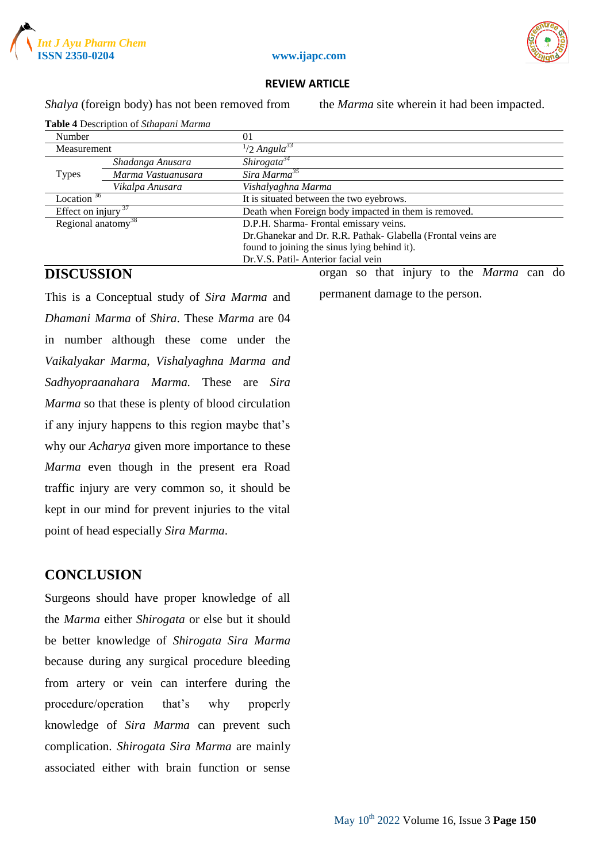



#### **ISSN 2350-0204 www.ijapc.com**

### **REVIEW ARTICLE**

*Shalya* (foreign body) has not been removed from the *Marma* site wherein it had been impacted.

| Number                         |                    | $_{01}$                                                       |  |
|--------------------------------|--------------------|---------------------------------------------------------------|--|
| Measurement                    |                    | $\frac{1}{2}$ Angula <sup>33</sup>                            |  |
|                                | Shadanga Anusara   | Shirogata <sup>34</sup>                                       |  |
| <b>Types</b>                   | Marma Vastuanusara | Sira Marma <sup>35</sup>                                      |  |
|                                | Vikalpa Anusara    | Vishalyaghna Marma                                            |  |
| Location $36$                  |                    | It is situated between the two eyebrows.                      |  |
| Effect on injury $37$          |                    | Death when Foreign body impacted in them is removed.          |  |
| Regional anatomy <sup>38</sup> |                    | D.P.H. Sharma- Frontal emissary veins.                        |  |
|                                |                    | Dr. Ghanekar and Dr. R.R. Pathak- Glabella (Frontal veins are |  |
|                                |                    | found to joining the sinus lying behind it).                  |  |
|                                |                    | Dr.V.S. Patil-Anterior facial vein                            |  |

# **Table 4** Description of *Sthapani Marma*

### **DISCUSSION**

This is a Conceptual study of *Sira Marma* and *Dhamani Marma* of *Shira*. These *Marma* are 04 in number although these come under the *Vaikalyakar Marma, Vishalyaghna Marma and Sadhyopraanahara Marma.* These are *Sira Marma* so that these is plenty of blood circulation if any injury happens to this region maybe that's why our *Acharya* given more importance to these *Marma* even though in the present era Road traffic injury are very common so, it should be kept in our mind for prevent injuries to the vital point of head especially *Sira Marma*.

### **CONCLUSION**

Surgeons should have proper knowledge of all the *Marma* either *Shirogata* or else but it should be better knowledge of *Shirogata Sira Marma* because during any surgical procedure bleeding from artery or vein can interfere during the procedure/operation that's why properly knowledge of *Sira Marma* can prevent such complication. *Shirogata Sira Marma* are mainly associated either with brain function or sense organ so that injury to the *Marma* can do

permanent damage to the person.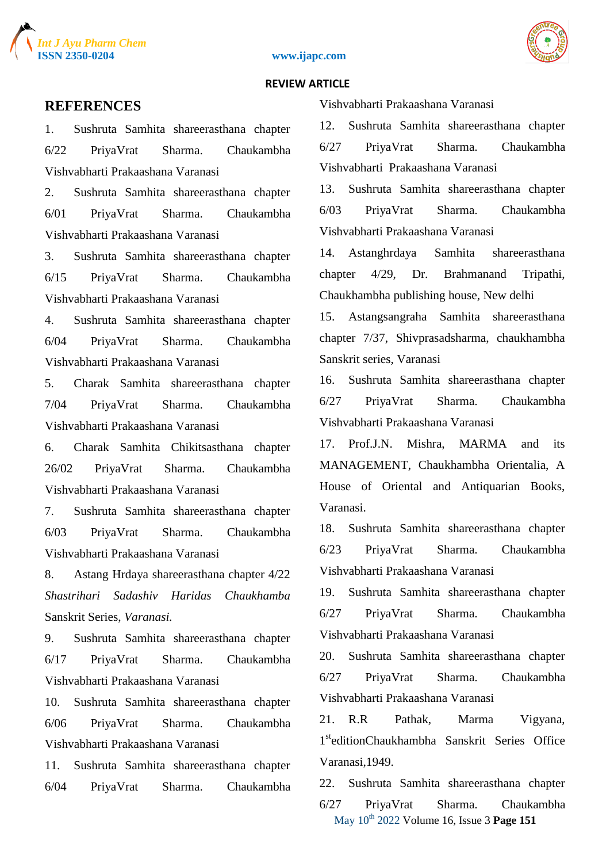





#### **REVIEW ARTICLE**

### **REFERENCES**

1. Sushruta Samhita shareerasthana chapter 6/22 PriyaVrat Sharma. Chaukambha Vishvabharti Prakaashana Varanasi

2. Sushruta Samhita shareerasthana chapter 6/01 PriyaVrat Sharma. Chaukambha Vishvabharti Prakaashana Varanasi

3. Sushruta Samhita shareerasthana chapter 6/15 PriyaVrat Sharma. Chaukambha Vishvabharti Prakaashana Varanasi

4. Sushruta Samhita shareerasthana chapter 6/04 PriyaVrat Sharma. Chaukambha Vishvabharti Prakaashana Varanasi

5. Charak Samhita shareerasthana chapter 7/04 PriyaVrat Sharma. Chaukambha Vishvabharti Prakaashana Varanasi

6. Charak Samhita Chikitsasthana chapter 26/02 PriyaVrat Sharma. Chaukambha Vishvabharti Prakaashana Varanasi

7. Sushruta Samhita shareerasthana chapter 6/03 PriyaVrat Sharma. Chaukambha Vishvabharti Prakaashana Varanasi

8. Astang Hrdaya shareerasthana chapter 4/22 *Shastrihari Sadashiv Haridas Chaukhamba*  Sanskrit Series, *Varanasi.*

9. Sushruta Samhita shareerasthana chapter 6/17 PriyaVrat Sharma. Chaukambha Vishvabharti Prakaashana Varanasi

10. Sushruta Samhita shareerasthana chapter 6/06 PriyaVrat Sharma. Chaukambha Vishvabharti Prakaashana Varanasi

11. Sushruta Samhita shareerasthana chapter 6/04 PriyaVrat Sharma. Chaukambha Vishvabharti Prakaashana Varanasi

12. Sushruta Samhita shareerasthana chapter 6/27 PriyaVrat Sharma. Chaukambha Vishvabharti Prakaashana Varanasi

13. Sushruta Samhita shareerasthana chapter 6/03 PriyaVrat Sharma. Chaukambha Vishvabharti Prakaashana Varanasi

14. Astanghrdaya Samhita shareerasthana chapter 4/29, Dr. Brahmanand Tripathi, Chaukhambha publishing house, New delhi

15. Astangsangraha Samhita shareerasthana chapter 7/37, Shivprasadsharma, chaukhambha Sanskrit series, Varanasi

16. Sushruta Samhita shareerasthana chapter 6/27 PriyaVrat Sharma. Chaukambha Vishvabharti Prakaashana Varanasi

17. Prof.J.N. Mishra, MARMA and its MANAGEMENT, Chaukhambha Orientalia, A House of Oriental and Antiquarian Books, Varanasi.

18. Sushruta Samhita shareerasthana chapter 6/23 PriyaVrat Sharma. Chaukambha Vishvabharti Prakaashana Varanasi

19. Sushruta Samhita shareerasthana chapter 6/27 PriyaVrat Sharma. Chaukambha Vishvabharti Prakaashana Varanasi

20. Sushruta Samhita shareerasthana chapter 6/27 PriyaVrat Sharma. Chaukambha Vishvabharti Prakaashana Varanasi

21. R.R Pathak, Marma Vigyana, 1 steditionChaukhambha Sanskrit Series Office Varanasi,1949.

May 10th 2022 Volume 16, Issue 3 **Page 151** 22. Sushruta Samhita shareerasthana chapter 6/27 PriyaVrat Sharma. Chaukambha